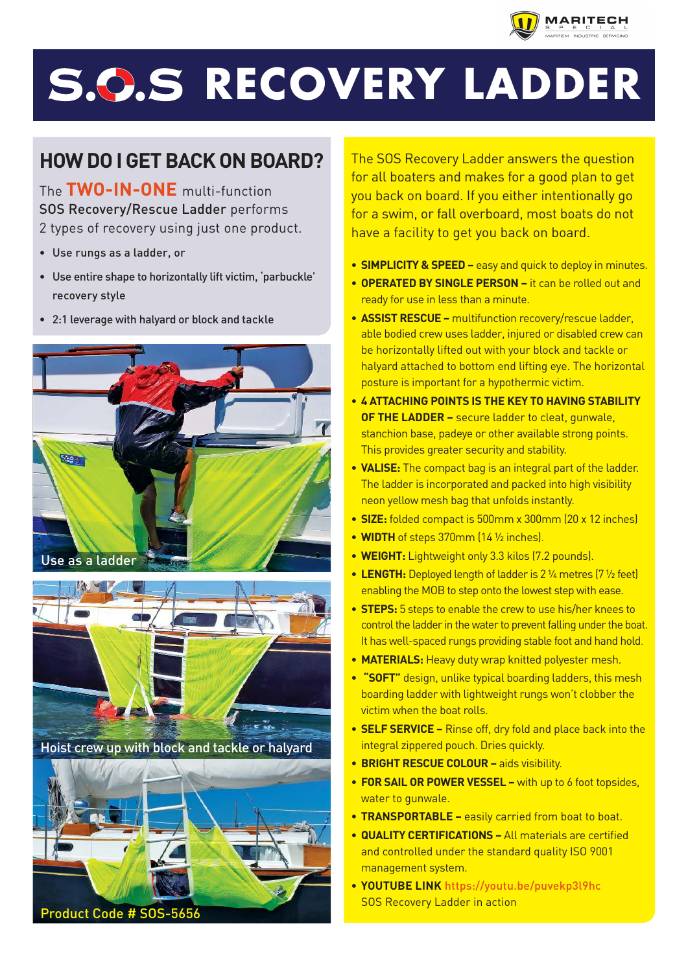

## **S.O.S RECOVERY LADDER**

## **HOW DO I GET BACK ON BOARD?**

The **TWO-IN-ONE** multi-function SOS Recovery/Rescue Ladder performs 2 types of recovery using just one product.

- Use rungs as a ladder, or
- Use entire shape to horizontally lift victim, 'parbuckle' recovery style
- 2:1 leverage with halyard or block and tackle





Hoist crew up with block and tackle or halyard



The SOS Recovery Ladder answers the question for all boaters and makes for a good plan to get you back on board. If you either intentionally go for a swim, or fall overboard, most boats do not have a facility to get you back on board.

- **SIMPLICITY & SPEED –** easy and quick to deploy in minutes.
- **OPERATED BY SINGLE PERSON –** it can be rolled out and ready for use in less than a minute.
- **ASSIST RESCUE** multifunction recovery/rescue ladder, able bodied crew uses ladder, injured or disabled crew can be horizontally lifted out with your block and tackle or halyard attached to bottom end lifting eye. The horizontal posture is important for a hypothermic victim.
- **4 ATTACHING POINTS IS THE KEY TO HAVING STABILITY OF THE LADDER –** secure ladder to cleat, gunwale, stanchion base, padeye or other available strong points. This provides greater security and stability.
- **VALISE:** The compact bag is an integral part of the ladder. The ladder is incorporated and packed into high visibility neon yellow mesh bag that unfolds instantly.
- **SIZE:** folded compact is 500mm x 300mm (20 x 12 inches)
- **WIDTH** of steps 370mm (14 ½ inches).
- **WEIGHT:** Lightweight only 3.3 kilos (7.2 pounds).
- **LENGTH:** Deployed length of ladder is 2 ¼ metres (7 ½ feet) enabling the MOB to step onto the lowest step with ease.
- **STEPS:** 5 steps to enable the crew to use his/her knees to control the ladder in the water to prevent falling under the boat. It has well-spaced rungs providing stable foot and hand hold.
- **MATERIALS:** Heavy duty wrap knitted polyester mesh.
- **"SOFT"** design, unlike typical boarding ladders, this mesh boarding ladder with lightweight rungs won't clobber the victim when the boat rolls.
- **SELF SERVICE –** Rinse off, dry fold and place back into the integral zippered pouch. Dries quickly.
- **BRIGHT RESCUE COLOUR** aids visibility.
- **FOR SAIL OR POWER VESSEL –** with up to 6 foot topsides, water to gunwale.
- **TRANSPORTABLE** easily carried from boat to boat.
- **QUALITY CERTIFICATIONS** All materials are certified and controlled under the standard quality ISO 9001 management system.
- **YOUTUBE LINK** https://youtu.be/puvekp3l9hc SOS Recovery Ladder in action